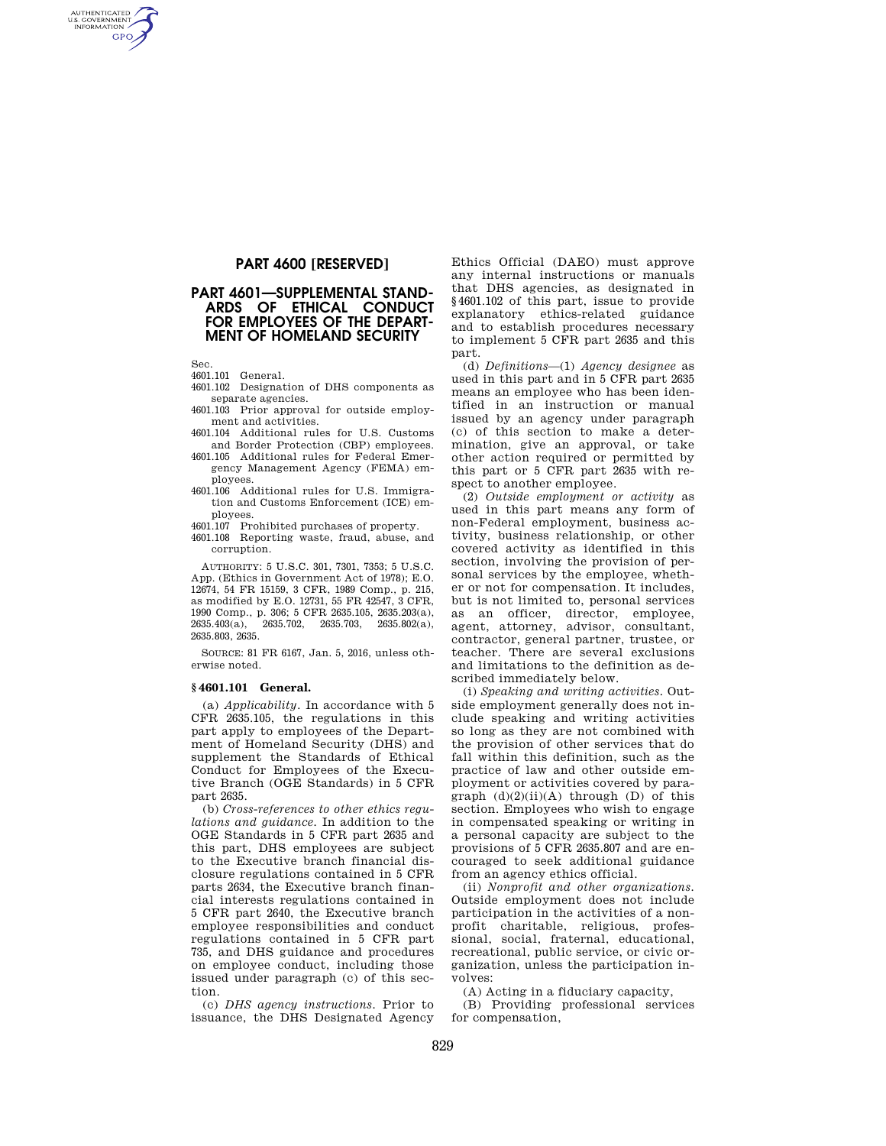# **PART 4600 [RESERVED]**

# **PART 4601—SUPPLEMENTAL STAND-ARDS OF ETHICAL CONDUCT FOR EMPLOYEES OF THE DEPART-MENT OF HOMELAND SECURITY**

Sec.

AUTHENTICATED<br>U.S. GOVERNMENT<br>INFORMATION **GPO** 

4601.101 General.

- 4601.102 Designation of DHS components as separate agencies.
- 4601.103 Prior approval for outside employment and activities.
- 4601.104 Additional rules for U.S. Customs and Border Protection (CBP) employees.
- 4601.105 Additional rules for Federal Emergency Management Agency (FEMA) employees.
- 4601.106 Additional rules for U.S. Immigration and Customs Enforcement (ICE) employees.
- 4601.107 Prohibited purchases of property.
- 4601.108 Reporting waste, fraud, abuse, and corruption.

AUTHORITY: 5 U.S.C. 301, 7301, 7353; 5 U.S.C. App. (Ethics in Government Act of 1978); E.O. 12674, 54 FR 15159, 3 CFR, 1989 Comp., p. 215, as modified by E.O. 12731, 55 FR 42547, 3 CFR, 1990 Comp., p. 306; 5 CFR 2635.105, 2635.203(a), 2635.403(a), 2635.702, 2635.703, 2635.802(a), 2635.803, 2635.

SOURCE: 81 FR 6167, Jan. 5, 2016, unless otherwise noted.

## **§ 4601.101 General.**

(a) *Applicability.* In accordance with 5 CFR 2635.105, the regulations in this part apply to employees of the Department of Homeland Security (DHS) and supplement the Standards of Ethical Conduct for Employees of the Executive Branch (OGE Standards) in 5 CFR part 2635.

(b) *Cross-references to other ethics regulations and guidance.* In addition to the OGE Standards in 5 CFR part 2635 and this part, DHS employees are subject to the Executive branch financial disclosure regulations contained in 5 CFR parts 2634, the Executive branch financial interests regulations contained in 5 CFR part 2640, the Executive branch employee responsibilities and conduct regulations contained in 5 CFR part 735, and DHS guidance and procedures on employee conduct, including those issued under paragraph (c) of this section.

(c) *DHS agency instructions.* Prior to issuance, the DHS Designated Agency

Ethics Official (DAEO) must approve any internal instructions or manuals that DHS agencies, as designated in §4601.102 of this part, issue to provide explanatory ethics-related guidance and to establish procedures necessary to implement 5 CFR part 2635 and this part.

(d) *Definitions*—(1) *Agency designee* as used in this part and in 5 CFR part 2635 means an employee who has been identified in an instruction or manual issued by an agency under paragraph (c) of this section to make a determination, give an approval, or take other action required or permitted by this part or 5 CFR part 2635 with respect to another employee.

(2) *Outside employment or activity* as used in this part means any form of non-Federal employment, business activity, business relationship, or other covered activity as identified in this section, involving the provision of personal services by the employee, whether or not for compensation. It includes, but is not limited to, personal services as an officer, director, employee, agent, attorney, advisor, consultant, contractor, general partner, trustee, or teacher. There are several exclusions and limitations to the definition as described immediately below.

(i) *Speaking and writing activities.* Outside employment generally does not include speaking and writing activities so long as they are not combined with the provision of other services that do fall within this definition, such as the practice of law and other outside employment or activities covered by paragraph  $(d)(2)(ii)(A)$  through  $(D)$  of this section. Employees who wish to engage in compensated speaking or writing in a personal capacity are subject to the provisions of 5 CFR 2635.807 and are encouraged to seek additional guidance from an agency ethics official.

(ii) *Nonprofit and other organizations.*  Outside employment does not include participation in the activities of a nonprofit charitable, religious, professional, social, fraternal, educational, recreational, public service, or civic organization, unless the participation involves:

(A) Acting in a fiduciary capacity,

(B) Providing professional services for compensation,